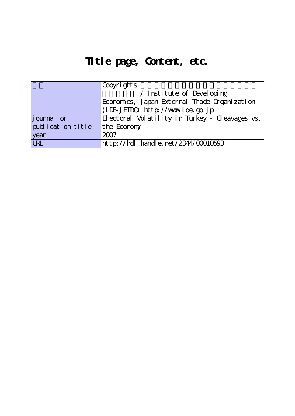## **Title page, Content, etc.**

|                   | Copyrights                                     |  |
|-------------------|------------------------------------------------|--|
|                   | / Institute of Developing                      |  |
|                   | Economies, Japan External Trade Organization   |  |
|                   | (IDE-JETRO) http://www.ide.go.jp               |  |
| $j$ ournal or     | Electoral Volatility in Turkey - Cleavages vs. |  |
| publication title | the Economy                                    |  |
| year              | 2007                                           |  |
| <b>URL</b>        | http://hdl.handle.net/2344/00010593            |  |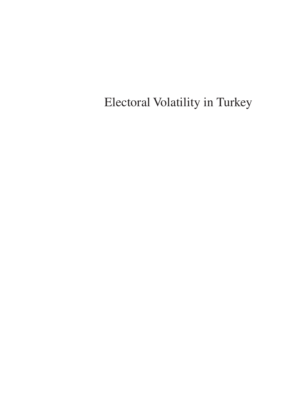Electoral Volatility in Turkey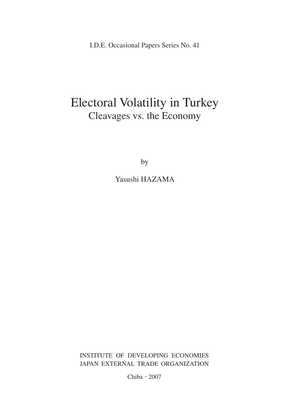I.D.E. Occasional Papers Series No. 41

## Electoral Volatility in Turkey Cleavages vs. the Economy

by

Yasushi HAZAMA

INSTITUTE OF DEVELOPING ECONOMIES JAPAN EXTERNAL TRADE ORGANIZATION

Chiba・2007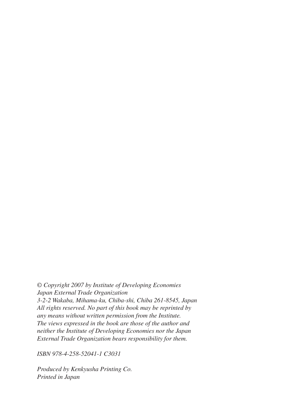*© Copyright 2007 by Institute of Developing Economies Japan External Trade Organization 3-2-2 Wakaba, Mihama-ku, Chiba-shi, Chiba 261-8545, Japan All rights reserved. No part of this book may be reprinted by any means without written permission from the Institute. The views expressed in the book are those of the author and neither the Institute of Developing Economies nor the Japan External Trade Organization bears responsibility for them.*

*ISBN 978-4-258-52041-1 C3031*

*Produced by Kenkyusha Printing Co. Printed in Japan*